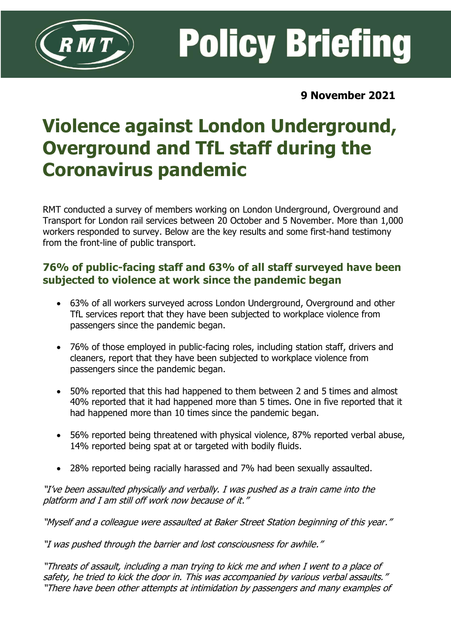

**Policy Briefing** 

**9 November 2021**

# **Violence against London Underground, Overground and TfL staff during the Coronavirus pandemic**

RMT conducted a survey of members working on London Underground, Overground and Transport for London rail services between 20 October and 5 November. More than 1,000 workers responded to survey. Below are the key results and some first-hand testimony from the front-line of public transport.

## **76% of public-facing staff and 63% of all staff surveyed have been subjected to violence at work since the pandemic began**

- 63% of all workers surveyed across London Underground, Overground and other TfL services report that they have been subjected to workplace violence from passengers since the pandemic began.
- 76% of those employed in public-facing roles, including station staff, drivers and cleaners, report that they have been subjected to workplace violence from passengers since the pandemic began.
- 50% reported that this had happened to them between 2 and 5 times and almost 40% reported that it had happened more than 5 times. One in five reported that it had happened more than 10 times since the pandemic began.
- 56% reported being threatened with physical violence, 87% reported verbal abuse, 14% reported being spat at or targeted with bodily fluids.
- 28% reported being racially harassed and 7% had been sexually assaulted.

"I've been assaulted physically and verbally. I was pushed as a train came into the platform and I am still off work now because of it."

"Myself and a colleague were assaulted at Baker Street Station beginning of this year."

"I was pushed through the barrier and lost consciousness for awhile."

"Threats of assault, including a man trying to kick me and when I went to a place of safety, he tried to kick the door in. This was accompanied by various verbal assaults." "There have been other attempts at intimidation by passengers and many examples of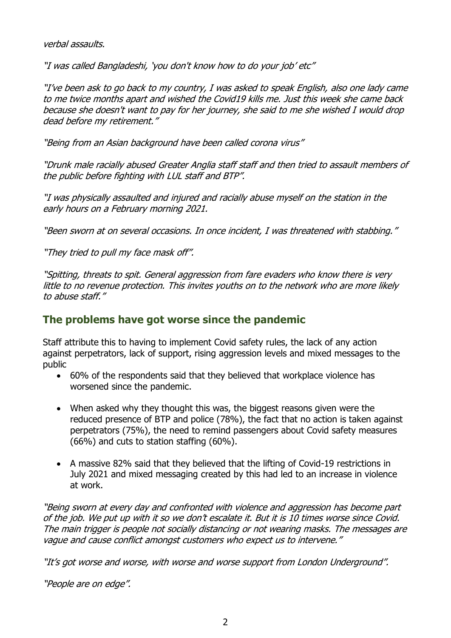verbal assaults.

"I was called Bangladeshi, 'you don't know how to do your job' etc"

"I've been ask to go back to my country, I was asked to speak English, also one lady came to me twice months apart and wished the Covid19 kills me. Just this week she came back because she doesn't want to pay for her journey, she said to me she wished I would drop dead before my retirement."

"Being from an Asian background have been called corona virus"

"Drunk male racially abused Greater Anglia staff staff and then tried to assault members of the public before fighting with LUL staff and BTP".

"I was physically assaulted and injured and racially abuse myself on the station in the early hours on a February morning 2021.

"Been sworn at on several occasions. In once incident, I was threatened with stabbing."

"They tried to pull my face mask off".

"Spitting, threats to spit. General aggression from fare evaders who know there is very little to no revenue protection. This invites youths on to the network who are more likely to abuse staff."

## **The problems have got worse since the pandemic**

Staff attribute this to having to implement Covid safety rules, the lack of any action against perpetrators, lack of support, rising aggression levels and mixed messages to the public

- 60% of the respondents said that they believed that workplace violence has worsened since the pandemic.
- When asked why they thought this was, the biggest reasons given were the reduced presence of BTP and police (78%), the fact that no action is taken against perpetrators (75%), the need to remind passengers about Covid safety measures (66%) and cuts to station staffing (60%).
- A massive 82% said that they believed that the lifting of Covid-19 restrictions in July 2021 and mixed messaging created by this had led to an increase in violence at work.

"Being sworn at every day and confronted with violence and aggression has become part of the job. We put up with it so we don't escalate it. But it is 10 times worse since Covid. The main trigger is people not socially distancing or not wearing masks. The messages are vague and cause conflict amongst customers who expect us to intervene."

"It's got worse and worse, with worse and worse support from London Underground".

"People are on edge".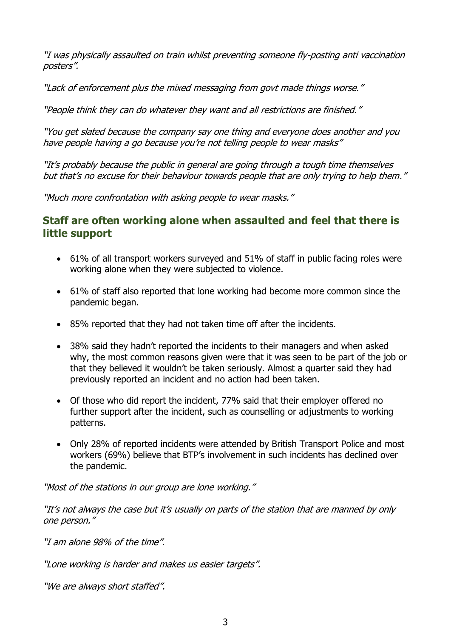"I was physically assaulted on train whilst preventing someone fly-posting anti vaccination posters".

"Lack of enforcement plus the mixed messaging from govt made things worse."

"People think they can do whatever they want and all restrictions are finished."

"You get slated because the company say one thing and everyone does another and you have people having a go because you're not telling people to wear masks"

"It's probably because the public in general are going through a tough time themselves but that's no excuse for their behaviour towards people that are only trying to help them."

"Much more confrontation with asking people to wear masks."

### **Staff are often working alone when assaulted and feel that there is little support**

- 61% of all transport workers surveyed and 51% of staff in public facing roles were working alone when they were subjected to violence.
- 61% of staff also reported that lone working had become more common since the pandemic began.
- 85% reported that they had not taken time off after the incidents.
- 38% said they hadn't reported the incidents to their managers and when asked why, the most common reasons given were that it was seen to be part of the job or that they believed it wouldn't be taken seriously. Almost a quarter said they had previously reported an incident and no action had been taken.
- Of those who did report the incident, 77% said that their employer offered no further support after the incident, such as counselling or adjustments to working patterns.
- Only 28% of reported incidents were attended by British Transport Police and most workers (69%) believe that BTP's involvement in such incidents has declined over the pandemic.

"Most of the stations in our group are lone working."

"It's not always the case but it's usually on parts of the station that are manned by only one person."

"I am alone 98% of the time".

"Lone working is harder and makes us easier targets".

"We are always short staffed".